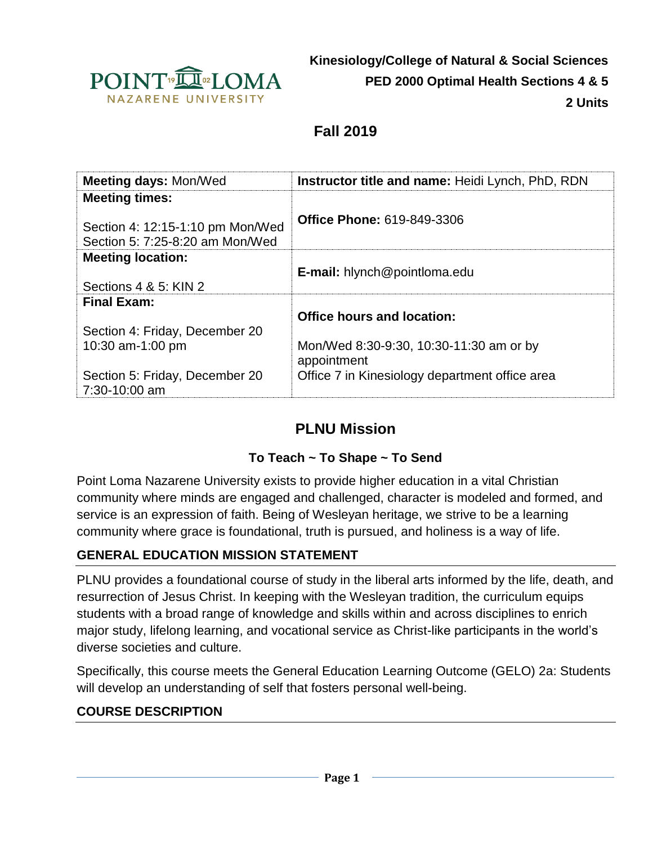

# **Fall 2019**

| <b>Meeting days: Mon/Wed</b>                                        | <b>Instructor title and name: Heidi Lynch, PhD, RDN</b> |
|---------------------------------------------------------------------|---------------------------------------------------------|
| <b>Meeting times:</b>                                               |                                                         |
| Section 4: 12:15-1:10 pm Mon/Wed<br>Section 5: 7:25-8:20 am Mon/Wed | <b>Office Phone: 619-849-3306</b>                       |
| <b>Meeting location:</b>                                            |                                                         |
|                                                                     | <b>E-mail:</b> hlynch@pointloma.edu                     |
| Sections 4 & 5: KIN 2                                               |                                                         |
| <b>Final Exam:</b>                                                  |                                                         |
|                                                                     | <b>Office hours and location:</b>                       |
| Section 4: Friday, December 20                                      |                                                         |
| 10:30 am-1:00 pm                                                    | Mon/Wed 8:30-9:30, 10:30-11:30 am or by<br>appointment  |
| Section 5: Friday, December 20<br>7:30-10:00 am                     | Office 7 in Kinesiology department office area          |

# **PLNU Mission**

### **To Teach ~ To Shape ~ To Send**

Point Loma Nazarene University exists to provide higher education in a vital Christian community where minds are engaged and challenged, character is modeled and formed, and service is an expression of faith. Being of Wesleyan heritage, we strive to be a learning community where grace is foundational, truth is pursued, and holiness is a way of life.

### **GENERAL EDUCATION MISSION STATEMENT**

PLNU provides a foundational course of study in the liberal arts informed by the life, death, and resurrection of Jesus Christ. In keeping with the Wesleyan tradition, the curriculum equips students with a broad range of knowledge and skills within and across disciplines to enrich major study, lifelong learning, and vocational service as Christ-like participants in the world's diverse societies and culture.

Specifically, this course meets the General Education Learning Outcome (GELO) 2a: Students will develop an understanding of self that fosters personal well-being.

### **COURSE DESCRIPTION**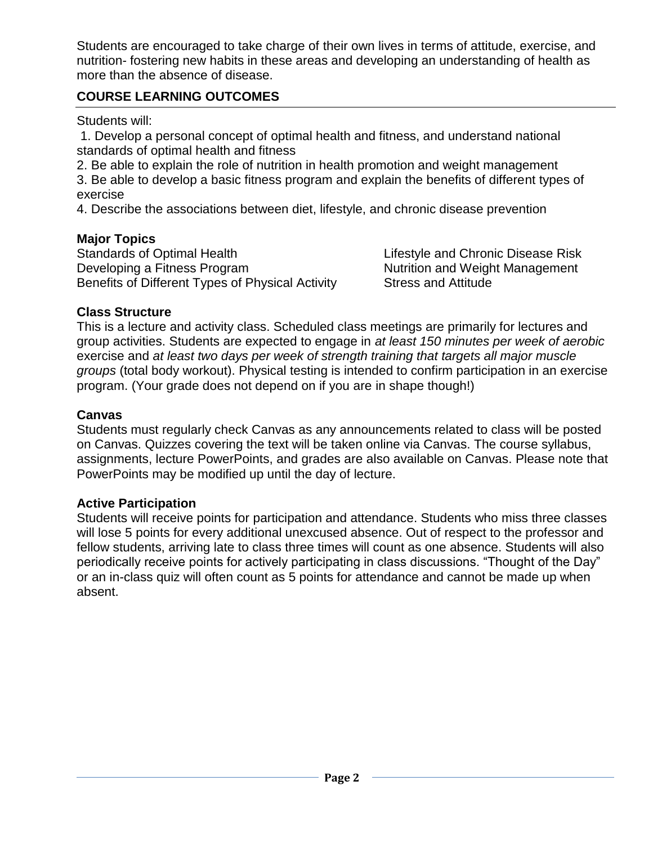Students are encouraged to take charge of their own lives in terms of attitude, exercise, and nutrition- fostering new habits in these areas and developing an understanding of health as more than the absence of disease.

## **COURSE LEARNING OUTCOMES**

Students will:

1. Develop a personal concept of optimal health and fitness, and understand national standards of optimal health and fitness

2. Be able to explain the role of nutrition in health promotion and weight management

3. Be able to develop a basic fitness program and explain the benefits of different types of exercise

4. Describe the associations between diet, lifestyle, and chronic disease prevention

#### **Major Topics**

Standards of Optimal Health Lifestyle and Chronic Disease Risk Developing a Fitness Program Nutrition and Weight Management Benefits of Different Types of Physical Activity Stress and Attitude

#### **Class Structure**

This is a lecture and activity class. Scheduled class meetings are primarily for lectures and group activities. Students are expected to engage in *at least 150 minutes per week of aerobic* exercise and *at least two days per week of strength training that targets all major muscle groups* (total body workout). Physical testing is intended to confirm participation in an exercise program. (Your grade does not depend on if you are in shape though!)

#### **Canvas**

Students must regularly check Canvas as any announcements related to class will be posted on Canvas. Quizzes covering the text will be taken online via Canvas. The course syllabus, assignments, lecture PowerPoints, and grades are also available on Canvas. Please note that PowerPoints may be modified up until the day of lecture.

#### **Active Participation**

Students will receive points for participation and attendance. Students who miss three classes will lose 5 points for every additional unexcused absence. Out of respect to the professor and fellow students, arriving late to class three times will count as one absence. Students will also periodically receive points for actively participating in class discussions. "Thought of the Day" or an in-class quiz will often count as 5 points for attendance and cannot be made up when absent.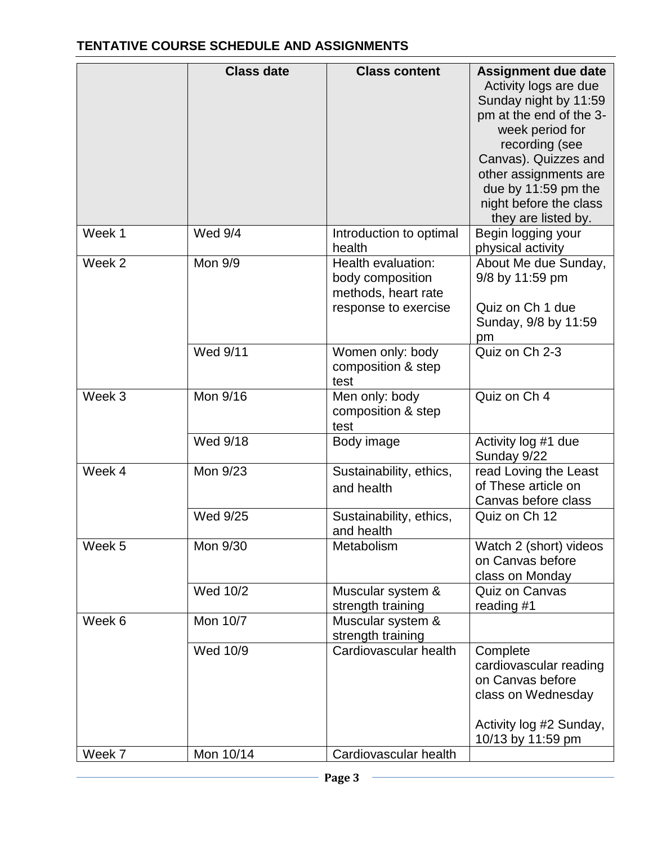## **TENTATIVE COURSE SCHEDULE AND ASSIGNMENTS**

|        | <b>Class date</b> | <b>Class content</b>                                                                  | <b>Assignment due date</b><br>Activity logs are due<br>Sunday night by 11:59<br>pm at the end of the 3-<br>week period for<br>recording (see<br>Canvas). Quizzes and<br>other assignments are<br>due by 11:59 pm the<br>night before the class |
|--------|-------------------|---------------------------------------------------------------------------------------|------------------------------------------------------------------------------------------------------------------------------------------------------------------------------------------------------------------------------------------------|
| Week 1 | <b>Wed 9/4</b>    | Introduction to optimal<br>health                                                     | they are listed by.<br>Begin logging your<br>physical activity                                                                                                                                                                                 |
| Week 2 | Mon 9/9           | Health evaluation:<br>body composition<br>methods, heart rate<br>response to exercise | About Me due Sunday,<br>9/8 by 11:59 pm<br>Quiz on Ch 1 due<br>Sunday, 9/8 by 11:59<br>pm                                                                                                                                                      |
|        | Wed 9/11          | Women only: body<br>composition & step<br>test                                        | Quiz on Ch 2-3                                                                                                                                                                                                                                 |
| Week 3 | Mon 9/16          | Men only: body<br>composition & step<br>test                                          | Quiz on Ch 4                                                                                                                                                                                                                                   |
|        | Wed 9/18          | Body image                                                                            | Activity log #1 due<br>Sunday 9/22                                                                                                                                                                                                             |
| Week 4 | Mon 9/23          | Sustainability, ethics,<br>and health                                                 | read Loving the Least<br>of These article on<br>Canvas before class                                                                                                                                                                            |
|        | Wed 9/25          | Sustainability, ethics,<br>and health                                                 | Quiz on Ch 12                                                                                                                                                                                                                                  |
| Week 5 | Mon 9/30          | Metabolism                                                                            | Watch 2 (short) videos<br>on Canvas before<br>class on Monday                                                                                                                                                                                  |
|        | Wed 10/2          | Muscular system &<br>strength training                                                | <b>Quiz on Canvas</b><br>reading #1                                                                                                                                                                                                            |
| Week 6 | Mon 10/7          | Muscular system &<br>strength training                                                |                                                                                                                                                                                                                                                |
|        | Wed 10/9          | Cardiovascular health                                                                 | Complete<br>cardiovascular reading<br>on Canvas before<br>class on Wednesday<br>Activity log #2 Sunday,                                                                                                                                        |
| Week 7 | Mon 10/14         | Cardiovascular health                                                                 | 10/13 by 11:59 pm                                                                                                                                                                                                                              |
|        |                   |                                                                                       |                                                                                                                                                                                                                                                |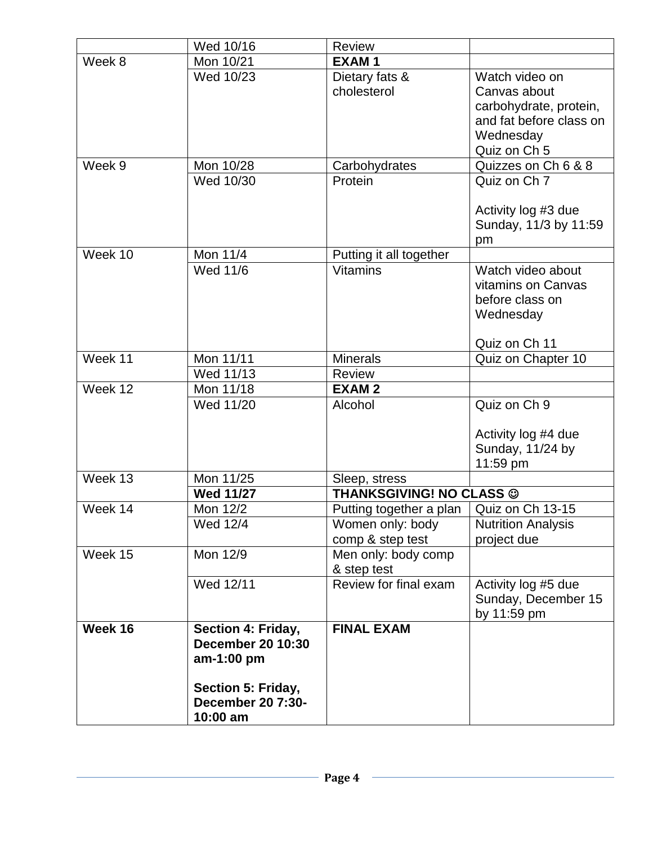|         | Wed 10/16                | <b>Review</b>                              |                                         |
|---------|--------------------------|--------------------------------------------|-----------------------------------------|
| Week 8  | Mon 10/21                | <b>EXAM1</b>                               |                                         |
|         | Wed 10/23                | Dietary fats &                             | Watch video on                          |
|         |                          | cholesterol                                | Canvas about                            |
|         |                          |                                            | carbohydrate, protein,                  |
|         |                          |                                            | and fat before class on                 |
|         |                          |                                            | Wednesday                               |
|         |                          |                                            | Quiz on Ch 5                            |
| Week 9  | Mon 10/28                | Carbohydrates                              | Quizzes on Ch 6 & 8                     |
|         | Wed 10/30                | Protein                                    | Quiz on Ch 7                            |
|         |                          |                                            |                                         |
|         |                          |                                            | Activity log #3 due                     |
|         |                          |                                            | Sunday, 11/3 by 11:59                   |
|         |                          |                                            | pm                                      |
| Week 10 | Mon 11/4                 | Putting it all together                    |                                         |
|         | Wed 11/6                 | <b>Vitamins</b>                            | Watch video about                       |
|         |                          |                                            | vitamins on Canvas                      |
|         |                          |                                            | before class on                         |
|         |                          |                                            | Wednesday                               |
|         |                          |                                            |                                         |
|         |                          |                                            | Quiz on Ch 11                           |
| Week 11 | Mon 11/11                | <b>Minerals</b>                            | Quiz on Chapter 10                      |
|         | Wed 11/13                | <b>Review</b>                              |                                         |
| Week 12 | Mon 11/18                | <b>EXAM2</b>                               |                                         |
|         | Wed 11/20                | Alcohol                                    | Quiz on Ch 9                            |
|         |                          |                                            |                                         |
|         |                          |                                            | Activity log #4 due<br>Sunday, 11/24 by |
|         |                          |                                            | 11:59 pm                                |
| Week 13 | Mon 11/25                | Sleep, stress                              |                                         |
|         | <b>Wed 11/27</b>         | <b>THANKSGIVING! NO CLASS ©</b>            |                                         |
| Week 14 | Mon 12/2                 | Putting together a plan   Quiz on Ch 13-15 |                                         |
|         | Wed 12/4                 | Women only: body                           | <b>Nutrition Analysis</b>               |
|         |                          | comp & step test                           | project due                             |
| Week 15 | Mon 12/9                 | Men only: body comp                        |                                         |
|         |                          | & step test                                |                                         |
|         | Wed 12/11                | Review for final exam                      | Activity log #5 due                     |
|         |                          |                                            | Sunday, December 15                     |
|         |                          |                                            | by 11:59 pm                             |
| Week 16 | Section 4: Friday,       | <b>FINAL EXAM</b>                          |                                         |
|         | <b>December 20 10:30</b> |                                            |                                         |
|         | am-1:00 pm               |                                            |                                         |
|         |                          |                                            |                                         |
|         | Section 5: Friday,       |                                            |                                         |
|         | <b>December 20 7:30-</b> |                                            |                                         |
|         | 10:00 am                 |                                            |                                         |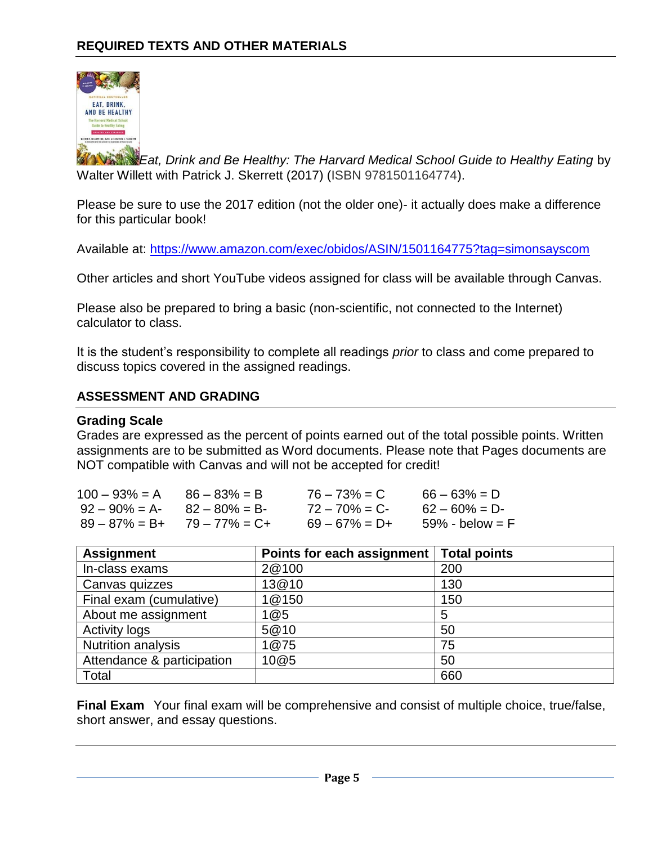

**Eat, Drink and Be Healthy: The Harvard Medical School Guide to Healthy Eating by** Walter Willett with Patrick J. Skerrett (2017) (ISBN 9781501164774).

Please be sure to use the 2017 edition (not the older one)- it actually does make a difference for this particular book!

Available at:<https://www.amazon.com/exec/obidos/ASIN/1501164775?tag=simonsayscom>

Other articles and short YouTube videos assigned for class will be available through Canvas.

Please also be prepared to bring a basic (non-scientific, not connected to the Internet) calculator to class.

It is the student's responsibility to complete all readings *prior* to class and come prepared to discuss topics covered in the assigned readings.

#### **ASSESSMENT AND GRADING**

#### **Grading Scale**

Grades are expressed as the percent of points earned out of the total possible points. Written assignments are to be submitted as Word documents. Please note that Pages documents are NOT compatible with Canvas and will not be accepted for credit!

| $100 - 93\% = A$ $86 - 83\% = B$  | $76 - 73\% = C$  | $66 - 63\% = D$    |
|-----------------------------------|------------------|--------------------|
| $92 - 90\% = A - 82 - 80\% = B$   | $72 - 70\% = C$  | $62 - 60\% = D$    |
| $89 - 87\% = B + 79 - 77\% = C +$ | $69 - 67\% = D+$ | $59\%$ - below = F |

| <b>Assignment</b>          | Points for each assignment | <b>Total points</b> |
|----------------------------|----------------------------|---------------------|
| In-class exams             | 2@100                      | 200                 |
| Canvas quizzes             | 13@10                      | 130                 |
| Final exam (cumulative)    | 1@150                      | 150                 |
| About me assignment        | 1@5                        | 5                   |
| <b>Activity logs</b>       | 5@10                       | 50                  |
| <b>Nutrition analysis</b>  | 1@75                       | 75                  |
| Attendance & participation | 10@5                       | 50                  |
| Total                      |                            | 660                 |

**Final Exam** Your final exam will be comprehensive and consist of multiple choice, true/false, short answer, and essay questions.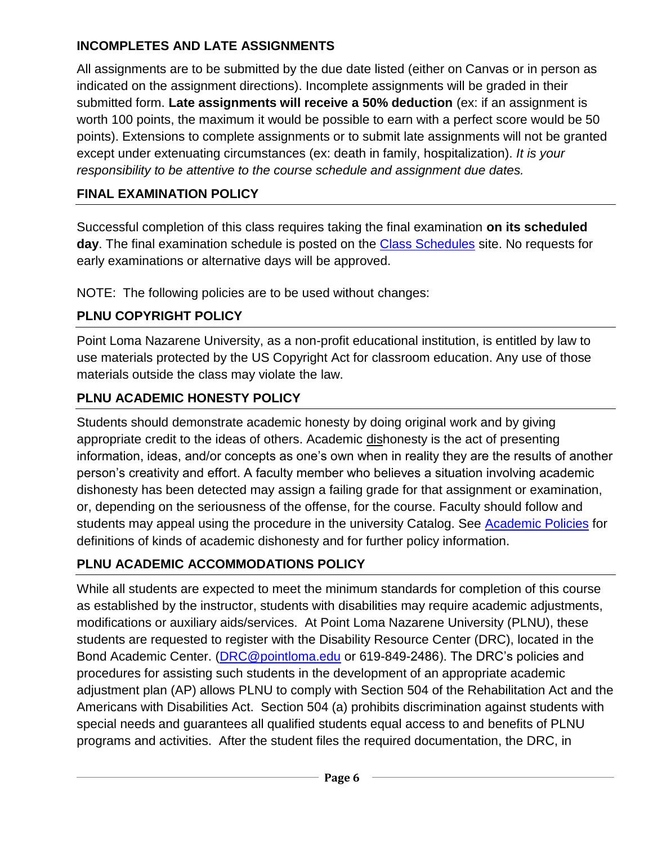## **INCOMPLETES AND LATE ASSIGNMENTS**

All assignments are to be submitted by the due date listed (either on Canvas or in person as indicated on the assignment directions). Incomplete assignments will be graded in their submitted form. **Late assignments will receive a 50% deduction** (ex: if an assignment is worth 100 points, the maximum it would be possible to earn with a perfect score would be 50 points). Extensions to complete assignments or to submit late assignments will not be granted except under extenuating circumstances (ex: death in family, hospitalization). *It is your responsibility to be attentive to the course schedule and assignment due dates.*

### **FINAL EXAMINATION POLICY**

Successful completion of this class requires taking the final examination **on its scheduled day**. The final examination schedule is posted on the [Class Schedules](http://www.pointloma.edu/experience/academics/class-schedules) site. No requests for early examinations or alternative days will be approved.

NOTE: The following policies are to be used without changes:

## **PLNU COPYRIGHT POLICY**

Point Loma Nazarene University, as a non-profit educational institution, is entitled by law to use materials protected by the US Copyright Act for classroom education. Any use of those materials outside the class may violate the law.

### **PLNU ACADEMIC HONESTY POLICY**

Students should demonstrate academic honesty by doing original work and by giving appropriate credit to the ideas of others. Academic dishonesty is the act of presenting information, ideas, and/or concepts as one's own when in reality they are the results of another person's creativity and effort. A faculty member who believes a situation involving academic dishonesty has been detected may assign a failing grade for that assignment or examination, or, depending on the seriousness of the offense, for the course. Faculty should follow and students may appeal using the procedure in the university Catalog. See [Academic Policies](http://catalog.pointloma.edu/content.php?catoid=18&navoid=1278) for definitions of kinds of academic dishonesty and for further policy information.

## **PLNU ACADEMIC ACCOMMODATIONS POLICY**

While all students are expected to meet the minimum standards for completion of this course as established by the instructor, students with disabilities may require academic adjustments, modifications or auxiliary aids/services. At Point Loma Nazarene University (PLNU), these students are requested to register with the Disability Resource Center (DRC), located in the Bond Academic Center. [\(DRC@pointloma.edu](mailto:DRC@pointloma.edu) or 619-849-2486). The DRC's policies and procedures for assisting such students in the development of an appropriate academic adjustment plan (AP) allows PLNU to comply with Section 504 of the Rehabilitation Act and the Americans with Disabilities Act. Section 504 (a) prohibits discrimination against students with special needs and guarantees all qualified students equal access to and benefits of PLNU programs and activities. After the student files the required documentation, the DRC, in